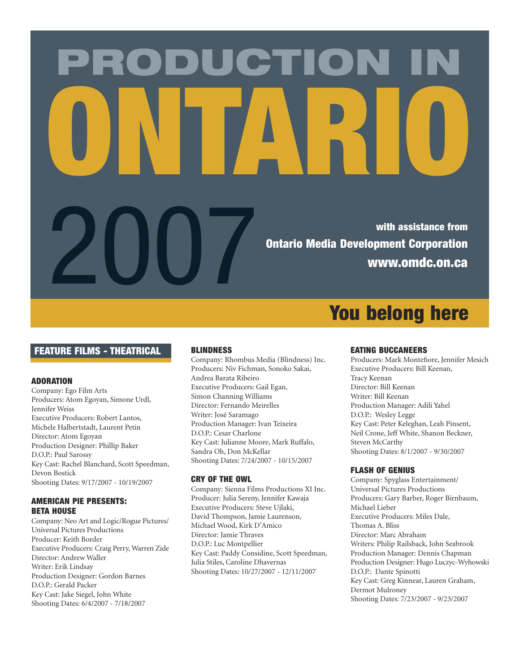# PRODUCTION IN ONTARIO

With assistance from Ontario Media Development Corporation<br>WWW.OMIC.ON.Ca Ontario Media Development Corporation www.omdc.on.ca

# FEATURE FILMS - THEATRICAL

# ADORATION

Company: Ego Film Arts Producers: Atom Egoyan, Simone Urdl, Jennifer Weiss Executive Producers: Robert Lantos, Michele Halbertstadt, Laurent Petin Director: Atom Egoyan Production Designer: Phillip Baker D.O.P.: Paul Sarossy Key Cast: Rachel Blanchard, Scott Speedman, Devon Bostick Shooting Dates: 9/17/2007 - 10/19/2007

# AMERICAN PIE PRESENTS: BETA HOUSE

Company: Neo Art and Logic/Rogue Pictures/ Universal Pictures Productions Producer: Keith Border Executive Producers: Craig Perry, Warren Zide Director: Andrew Waller Writer: Erik Lindsay Production Designer: Gordon Barnes D.O.P.: Gerald Packer Key Cast: Jake Siegel, John White Shooting Dates: 6/4/2007 - 7/18/2007

# BLINDNESS

Company: Rhombus Media (Blindness) Inc. Producers: Niv Fichman, Sonoko Sakai, Andrea Barata Ribeiro Executive Producers: Gail Egan, Simon Channing Williams Director: Fernando Meirelles Writer: José Saramago Production Manager: Ivan Teixeira D.O.P.: Cesar Charlone Key Cast: Julianne Moore, Mark Ruffalo, Sandra Oh, Don McKellar Shooting Dates: 7/24/2007 - 10/15/2007

#### CRY OF THE OWL

Company: Sienna Films Productions XI Inc. Producer: Julia Sereny, Jennifer Kawaja Executive Producers: Steve Ujlaki, David Thompson, Jamie Laurenson, Michael Wood, Kirk D'Amico Director: Jamie Thraves D.O.P.: Luc Montpellier Key Cast: Paddy Considine, Scott Speedman, Julia Stiles, Caroline Dhavernas Shooting Dates: 10/27/2007 - 12/11/2007

# You belong here

# EATING BUCCANEERS

Producers: Mark Montefiore, Jennifer Mesich Executive Producers: Bill Keenan, Tracy Keenan Director: Bill Keenan Writer: Bill Keenan Production Manager: Adili Yahel D.O.P.: Wesley Legge Key Cast: Peter Keleghan, Leah Pinsent, Neil Crone, Jeff White, Shanon Beckner, Steven McCarthy Shooting Dates: 8/1/2007 - 9/30/2007

# FLASH OF GENIUS

Company: Spyglass Entertainment/ Universal Pictures Productions Producers: Gary Barber, Roger Birnbaum, Michael Lieber Executive Producers: Miles Dale, Thomas A. Bliss Director: Marc Abraham Writers: Philip Railsback, John Seabrook Production Manager: Dennis Chapman Production Designer: Hugo Luczyc-Wyhowski D.O.P.: Dante Spinotti Key Cast: Greg Kinnear, Lauren Graham, Dermot Mulroney Shooting Dates: 7/23/2007 - 9/23/2007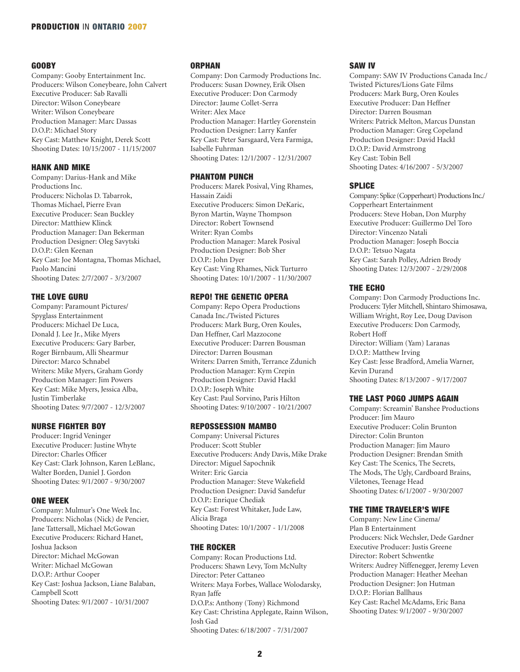# GOOBY

Company: Gooby Entertainment Inc. Producers: Wilson Coneybeare, John Calvert Executive Producer: Sab Ravalli Director: Wilson Coneybeare Writer: Wilson Coneybeare Production Manager: Marc Dassas D.O.P.: Michael Story Key Cast: Matthew Knight, Derek Scott Shooting Dates: 10/15/2007 - 11/15/2007

# HANK AND MIKE

Company: Darius-Hank and Mike Productions Inc. Producers: Nicholas D. Tabarrok, Thomas Michael, Pierre Evan Executive Producer: Sean Buckley Director: Matthiew Klinck Production Manager: Dan Bekerman Production Designer: Oleg Savytski D.O.P.: Glen Keenan Key Cast: Joe Montagna, Thomas Michael, Paolo Mancini Shooting Dates: 2/7/2007 - 3/3/2007

# THE LOVE GURU

Company: Paramount Pictures/ Spyglass Entertainment Producers: Michael De Luca, Donald J. Lee Jr., Mike Myers Executive Producers: Gary Barber, Roger Birnbaum, Alli Shearmur Director: Marco Schnabel Writers: Mike Myers, Graham Gordy Production Manager: Jim Powers Key Cast: Mike Myers, Jessica Alba, Justin Timberlake Shooting Dates: 9/7/2007 - 12/3/2007

# NURSE FIGHTER BOY

Producer: Ingrid Veninger Executive Producer: Justine Whyte Director: Charles Officer Key Cast: Clark Johnson, Karen LeBlanc, Walter Borden, Daniel J. Gordon Shooting Dates: 9/1/2007 - 9/30/2007

## ONE WEEK

Company: Mulmur's One Week Inc. Producers: Nicholas (Nick) de Pencier, Jane Tattersall, Michael McGowan Executive Producers: Richard Hanet, Joshua Jackson Director: Michael McGowan Writer: Michael McGowan D.O.P.: Arthur Cooper Key Cast: Joshua Jackson, Liane Balaban, Campbell Scott Shooting Dates: 9/1/2007 - 10/31/2007

#### **ORPHAN**

Company: Don Carmody Productions Inc. Producers: Susan Downey, Erik Olsen Executive Producer: Don Carmody Director: Jaume Collet-Serra Writer: Alex Mace Production Manager: Hartley Gorenstein Production Designer: Larry Kanfer Key Cast: Peter Sarsgaard, Vera Farmiga, Isabelle Fuhrman Shooting Dates: 12/1/2007 - 12/31/2007

# PHANTOM PUNCH

Producers: Marek Posival, Ving Rhames, Hassain Zaidi Executive Producers: Simon DeKaric, Byron Martin, Wayne Thompson Director: Robert Townsend Writer: Ryan Combs Production Manager: Marek Posival Production Designer: Bob Sher D.O.P.: John Dyer Key Cast: Ving Rhames, Nick Turturro Shooting Dates: 10/1/2007 - 11/30/2007

# REPO! THE GENETIC OPERA

Company: Repo Opera Productions Canada Inc./Twisted Pictures Producers: Mark Burg, Oren Koules, Dan Heffner, Carl Mazzocone Executive Producer: Darren Bousman Director: Darren Bousman Writers: Darren Smith, Terrance Zdunich Production Manager: Kym Crepin Production Designer: David Hackl D.O.P.: Joseph White Key Cast: Paul Sorvino, Paris Hilton Shooting Dates: 9/10/2007 - 10/21/2007

#### REPOSSESSION MAMBO

Company: Universal Pictures Producer: Scott Stubler Executive Producers: Andy Davis, Mike Drake Director: Miguel Sapochnik Writer: Eric Garcia Production Manager: Steve Wakefield Production Designer: David Sandefur D.O.P.: Enrique Chediak Key Cast: Forest Whitaker, Jude Law, Alicia Braga Shooting Dates: 10/1/2007 - 1/1/2008

#### THE ROCKER

Company: Rocan Productions Ltd. Producers: Shawn Levy, Tom McNulty Director: Peter Cattaneo Writers: Maya Forbes, Wallace Wolodarsky, Ryan Jaffe D.O.P.s: Anthony (Tony) Richmond Key Cast: Christina Applegate, Rainn Wilson, Josh Gad Shooting Dates: 6/18/2007 - 7/31/2007

#### SAW IV

Company: SAW IV Productions Canada Inc./ Twisted Pictures/Lions Gate Films Producers: Mark Burg, Oren Koules Executive Producer: Dan Heffner Director: Darren Bousman Writers: Patrick Melton, Marcus Dunstan Production Manager: Greg Copeland Production Designer: David Hackl D.O.P.: David Armstrong Key Cast: Tobin Bell Shooting Dates: 4/16/2007 - 5/3/2007

## **SPLICE**

Company: Splice (Copperheart) Productions Inc./ Copperheart Entertainment Producers: Steve Hoban, Don Murphy Executive Producer: Guillermo Del Toro Director: Vincenzo Natali Production Manager: Joseph Boccia D.O.P.: Tetsuo Nagata Key Cast: Sarah Polley, Adrien Brody Shooting Dates: 12/3/2007 - 2/29/2008

#### THE ECHO

Company: Don Carmody Productions Inc. Producers: Tyler Mitchell, Shintaro Shimosawa, William Wright, Roy Lee, Doug Davison Executive Producers: Don Carmody, Robert Hoff Director: William (Yam) Laranas D.O.P.: Matthew Irving Key Cast: Jesse Bradford, Amelia Warner, Kevin Durand Shooting Dates: 8/13/2007 - 9/17/2007

# THE LAST POGO JUMPS AGAIN

Company: Screamin' Banshee Productions Producer: Jim Mauro Executive Producer: Colin Brunton Director: Colin Brunton Production Manager: Jim Mauro Production Designer: Brendan Smith Key Cast: The Scenics, The Secrets, The Mods, The Ugly, Cardboard Brains, Viletones, Teenage Head Shooting Dates: 6/1/2007 - 9/30/2007

#### THE TIME TRAVELER'S WIFE

Company: New Line Cinema/ Plan B Entertainment Producers: Nick Wechsler, Dede Gardner Executive Producer: Justis Greene Director: Robert Schwentke Writers: Audrey Niffenegger, Jeremy Leven Production Manager: Heather Meehan Production Designer: Jon Hutman D.O.P.: Florian Ballhaus Key Cast: Rachel McAdams, Eric Bana Shooting Dates: 9/1/2007 - 9/30/2007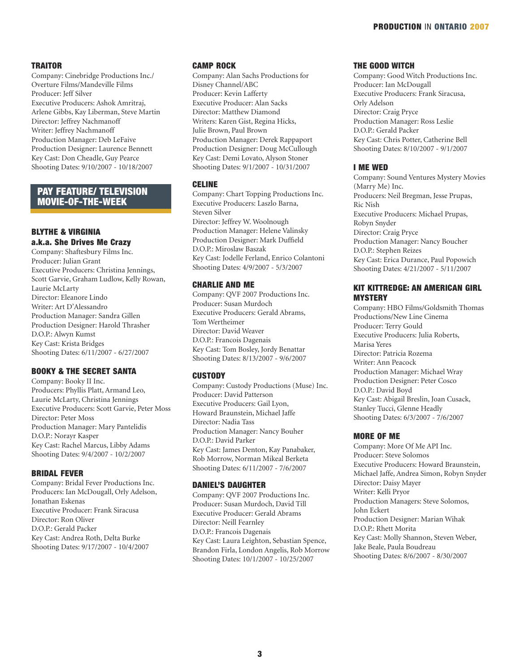#### **TRAITOR**

Company: Cinebridge Productions Inc./ Overture Films/Mandeville Films Producer: Jeff Silver Executive Producers: Ashok Amritraj, Arlene Gibbs, Kay Liberman, Steve Martin Director: Jeffrey Nachmanoff Writer: Jeffrey Nachmanoff Production Manager: Deb LeFaive Production Designer: Laurence Bennett Key Cast: Don Cheadle, Guy Pearce Shooting Dates: 9/10/2007 - 10/18/2007

# PAY FEATURE/ TELEVISION MOVIE-OF-THE-WEEK

# BLYTHE & VIRGINIA a.k.a. She Drives Me Crazy

Company: Shaftesbury Films Inc. Producer: Julian Grant Executive Producers: Christina Jennings, Scott Garvie, Graham Ludlow, Kelly Rowan, Laurie McLarty Director: Eleanore Lindo Writer: Art D'Alessandro Production Manager: Sandra Gillen Production Designer: Harold Thrasher D.O.P.: Alwyn Kumst Key Cast: Krista Bridges Shooting Dates: 6/11/2007 - 6/27/2007

# BOOKY & THE SECRET SANTA

Company: Booky II Inc. Producers: Phyllis Platt, Armand Leo, Laurie McLarty, Christina Jennings Executive Producers: Scott Garvie, Peter Moss Director: Peter Moss Production Manager: Mary Pantelidis D.O.P.: Norayr Kasper Key Cast: Rachel Marcus, Libby Adams Shooting Dates: 9/4/2007 - 10/2/2007

# BRIDAL FEVER

Company: Bridal Fever Productions Inc. Producers: Ian McDougall, Orly Adelson, Jonathan Eskenas Executive Producer: Frank Siracusa Director: Ron Oliver D.O.P.: Gerald Packer Key Cast: Andrea Roth, Delta Burke Shooting Dates: 9/17/2007 - 10/4/2007

#### CAMP ROCK

Company: Alan Sachs Productions for Disney Channel/ABC Producer: Kevin Lafferty Executive Producer: Alan Sacks Director: Matthew Diamond Writers: Karen Gist, Regina Hicks, Julie Brown, Paul Brown Production Manager: Derek Rappaport Production Designer: Doug McCullough Key Cast: Demi Lovato, Alyson Stoner Shooting Dates: 9/1/2007 - 10/31/2007

#### CELINE

Company: Chart Topping Productions Inc. Executive Producers: Laszlo Barna, Steven Silver Director: Jeffrey W. Woolnough Production Manager: Helene Valinsky Production Designer: Mark Duffield D.O.P.: Miroslaw Baszak Key Cast: Jodelle Ferland, Enrico Colantoni Shooting Dates: 4/9/2007 - 5/3/2007

# CHARLIE AND ME

Company: QVF 2007 Productions Inc. Producer: Susan Murdoch Executive Producers: Gerald Abrams, Tom Wertheimer Director: David Weaver D.O.P.: Francois Dagenais Key Cast: Tom Bosley, Jordy Benattar Shooting Dates: 8/13/2007 - 9/6/2007

#### **CUSTODY**

Company: Custody Productions (Muse) Inc. Producer: David Patterson Executive Producers: Gail Lyon, Howard Braunstein, Michael Jaffe Director: Nadia Tass Production Manager: Nancy Bouher D.O.P.: David Parker Key Cast: James Denton, Kay Panabaker, Rob Morrow, Norman Mikeal Berketa Shooting Dates: 6/11/2007 - 7/6/2007

# DANIEL'S DAUGHTER

Company: QVF 2007 Productions Inc. Producer: Susan Murdoch, David Till Executive Producer: Gerald Abrams Director: Neill Fearnley D.O.P.: Francois Dagenais Key Cast: Laura Leighton, Sebastian Spence, Brandon Firla, London Angelis, Rob Morrow Shooting Dates: 10/1/2007 - 10/25/2007

# THE GOOD WITCH

Company: Good Witch Productions Inc. Producer: Ian McDougall Executive Producers: Frank Siracusa, Orly Adelson Director: Craig Pryce Production Manager: Ross Leslie D.O.P.: Gerald Packer Key Cast: Chris Potter, Catherine Bell Shooting Dates: 8/10/2007 - 9/1/2007

#### I ME WED

Company: Sound Ventures Mystery Movies (Marry Me) Inc. Producers: Neil Bregman, Jesse Prupas, Ric Nish Executive Producers: Michael Prupas, Robyn Snyder Director: Craig Pryce Production Manager: Nancy Boucher D.O.P.: Stephen Reizes Key Cast: Erica Durance, Paul Popowich Shooting Dates: 4/21/2007 - 5/11/2007

# KIT KITTREDGE: AN AMERICAN GIRL **MYSTERY**

Company: HBO Films/Goldsmith Thomas Productions/New Line Cinema Producer: Terry Gould Executive Producers: Julia Roberts, Marisa Yeres Director: Patricia Rozema Writer: Ann Peacock Production Manager: Michael Wray Production Designer: Peter Cosco D.O.P.: David Boyd Key Cast: Abigail Breslin, Joan Cusack, Stanley Tucci, Glenne Headly Shooting Dates: 6/3/2007 - 7/6/2007

#### MORE OF ME

Company: More Of Me API Inc. Producer: Steve Solomos Executive Producers: Howard Braunstein, Michael Jaffe, Andrea Simon, Robyn Snyder Director: Daisy Mayer Writer: Kelli Pryor Production Managers: Steve Solomos, John Eckert Production Designer: Marian Wihak D.O.P.: Rhett Morita Key Cast: Molly Shannon, Steven Weber, Jake Beale, Paula Boudreau Shooting Dates: 8/6/2007 - 8/30/2007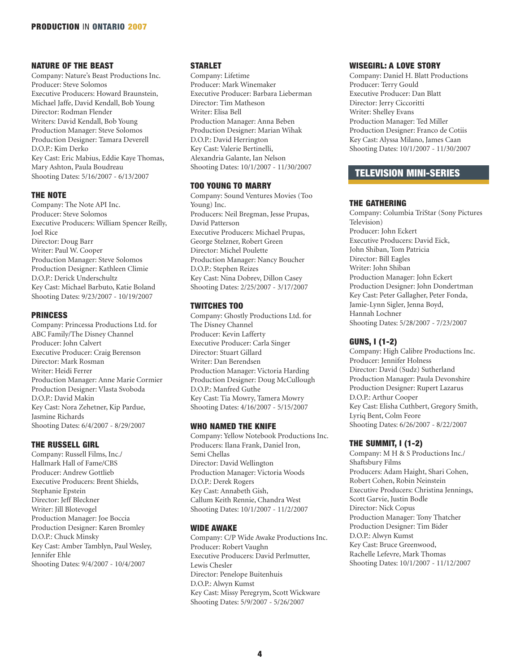# NATURE OF THE BEAST

Company: Nature's Beast Productions Inc. Producer: Steve Solomos Executive Producers: Howard Braunstein, Michael Jaffe, David Kendall, Bob Young Director: Rodman Flender Writers: David Kendall, Bob Young Production Manager: Steve Solomos Production Designer: Tamara Deverell D.O.P.: Kim Derko Key Cast: Eric Mabius, Eddie Kaye Thomas, Mary Ashton, Paula Boudreau Shooting Dates: 5/16/2007 - 6/13/2007

# THE NOTE

Company: The Note API Inc. Producer: Steve Solomos Executive Producers: William Spencer Reilly, Joel Rice Director: Doug Barr Writer: Paul W. Cooper Production Manager: Steve Solomos Production Designer: Kathleen Climie D.O.P.: Derick Underschultz Key Cast: Michael Barbuto, Katie Boland Shooting Dates: 9/23/2007 - 10/19/2007

# PRINCESS

Company: Princessa Productions Ltd. for ABC Family/The Disney Channel Producer: John Calvert Executive Producer: Craig Berenson Director: Mark Rosman Writer: Heidi Ferrer Production Manager: Anne Marie Cormier Production Designer: Vlasta Svoboda D.O.P.: David Makin Key Cast: Nora Zehetner, Kip Pardue, Jasmine Richards Shooting Dates: 6/4/2007 - 8/29/2007

# THE RUSSELL GIRL

Company: Russell Films, Inc./ Hallmark Hall of Fame/CBS Producer: Andrew Gottlieb Executive Producers: Brent Shields, Stephanie Epstein Director: Jeff Bleckner Writer: Jill Blotevogel Production Manager: Joe Boccia Production Designer: Karen Bromley D.O.P.: Chuck Minsky Key Cast: Amber Tamblyn, Paul Wesley, Jennifer Ehle Shooting Dates: 9/4/2007 - 10/4/2007

# **STARLET**

Company: Lifetime Producer: Mark Winemaker Executive Producer: Barbara Lieberman Director: Tim Matheson Writer: Elisa Bell Production Manager: Anna Beben Production Designer: Marian Wihak D.O.P.: David Herrington Key Cast: Valerie Bertinelli, Alexandria Galante, Ian Nelson Shooting Dates: 10/1/2007 - 11/30/2007

# TOO YOUNG TO MARRY

Company: Sound Ventures Movies (Too Young) Inc. Producers: Neil Bregman, Jesse Prupas, David Patterson Executive Producers: Michael Prupas, George Stelzner, Robert Green Director: Michel Poulette Production Manager: Nancy Boucher D.O.P.: Stephen Reizes Key Cast: Nina Dobrev, Dillon Casey Shooting Dates: 2/25/2007 - 3/17/2007

# TWITCHES TOO

Company: Ghostly Productions Ltd. for The Disney Channel Producer: Kevin Lafferty Executive Producer: Carla Singer Director: Stuart Gillard Writer: Dan Berendsen Production Manager: Victoria Harding Production Designer: Doug McCullough D.O.P.: Manfred Guthe Key Cast: Tia Mowry, Tamera Mowry Shooting Dates: 4/16/2007 - 5/15/2007

# WHO NAMED THE KNIFE

Company: Yellow Notebook Productions Inc. Producers: Ilana Frank, Daniel Iron, Semi Chellas Director: David Wellington Production Manager: Victoria Woods D.O.P.: Derek Rogers Key Cast: Annabeth Gish, Callum Keith Rennie, Chandra West Shooting Dates: 10/1/2007 - 11/2/2007

# WIDE AWAKE

Company: C/P Wide Awake Productions Inc. Producer: Robert Vaughn Executive Producers: David Perlmutter, Lewis Chesler Director: Penelope Buitenhuis D.O.P.: Alwyn Kumst Key Cast: Missy Peregrym, Scott Wickware Shooting Dates: 5/9/2007 - 5/26/2007

# WISEGIRL: A LOVE STORY

Company: Daniel H. Blatt Productions Producer: Terry Gould Executive Producer: Dan Blatt Director: Jerry Ciccoritti Writer: Shelley Evans Production Manager: Ted Miller Production Designer: Franco de Cotiis Key Cast: Alyssa Milano, James Caan Shooting Dates: 10/1/2007 - 11/30/2007

# TELEVISION MINI-SERIES

# THE GATHERING

Company: Columbia TriStar (Sony Pictures Television) Producer: John Eckert Executive Producers: David Eick, John Shiban, Tom Patricia Director: Bill Eagles Writer: John Shiban Production Manager: John Eckert Production Designer: John Dondertman Key Cast: Peter Gallagher, Peter Fonda, Jamie-Lynn Sigler, Jenna Boyd, Hannah Lochner Shooting Dates: 5/28/2007 - 7/23/2007

# GUNS, I (1-2)

Company: High Calibre Productions Inc. Producer: Jennifer Holness Director: David (Sudz) Sutherland Production Manager: Paula Devonshire Production Designer: Rupert Lazarus D.O.P.: Arthur Cooper Key Cast: Elisha Cuthbert, Gregory Smith, Lyriq Bent, Colm Feore Shooting Dates: 6/26/2007 - 8/22/2007

# THE SUMMIT, I (1-2)

Company: M H & S Productions Inc./ Shaftsbury Films Producers: Adam Haight, Shari Cohen, Robert Cohen, Robin Neinstein Executive Producers: Christina Jennings, Scott Garvie, Justin Bodle Director: Nick Copus Production Manager: Tony Thatcher Production Designer: Tim Bider D.O.P.: Alwyn Kumst Key Cast: Bruce Greenwood, Rachelle Lefevre, Mark Thomas Shooting Dates: 10/1/2007 - 11/12/2007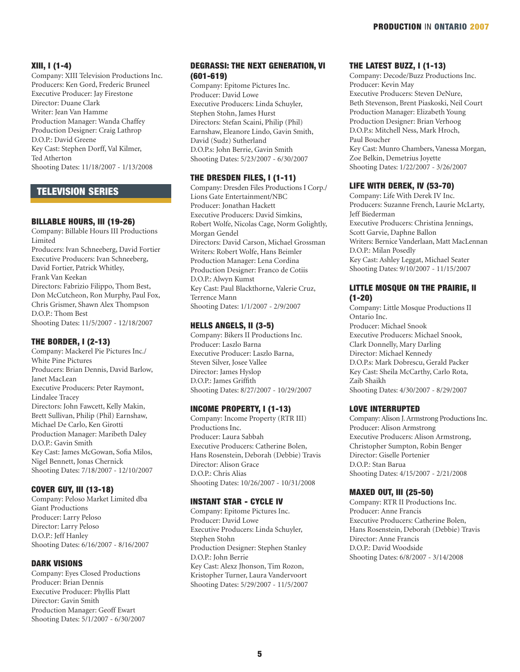# XIII, I (1-4)

Company: XIII Television Productions Inc. Producers: Ken Gord, Frederic Bruneel Executive Producer: Jay Firestone Director: Duane Clark Writer: Jean Van Hamme Production Manager: Wanda Chaffey Production Designer: Craig Lathrop D.O.P.: David Greene Key Cast: Stephen Dorff, Val Kilmer, Ted Atherton Shooting Dates: 11/18/2007 - 1/13/2008

# TELEVISION SERIES

#### BILLABLE HOURS, III (19-26)

Company: Billable Hours III Productions Limited Producers: Ivan Schneeberg, David Fortier Executive Producers: Ivan Schneeberg, David Fortier, Patrick Whitley, Frank Van Keekan Directors: Fabrizio Filippo, Thom Best, Don McCutcheon, Ron Murphy, Paul Fox, Chris Grismer, Shawn Alex Thompson D.O.P.: Thom Best Shooting Dates: 11/5/2007 - 12/18/2007

#### THE BORDER, I (2-13)

Company: Mackerel Pie Pictures Inc./ White Pine Pictures Producers: Brian Dennis, David Barlow, Janet MacLean Executive Producers: Peter Raymont, Lindalee Tracey Directors: John Fawcett, Kelly Makin, Brett Sullivan, Philip (Phil) Earnshaw, Michael De Carlo, Ken Girotti Production Manager: Maribeth Daley D.O.P.: Gavin Smith Key Cast: James McGowan, Sofia Milos, Nigel Bennett, Jonas Chernick Shooting Dates: 7/18/2007 - 12/10/2007

# COVER GUY, III (13-18)

Company: Peloso Market Limited dba Giant Productions Producer: Larry Peloso Director: Larry Peloso D.O.P.: Jeff Hanley Shooting Dates: 6/16/2007 - 8/16/2007

## DARK VISIONS

Company: Eyes Closed Productions Producer: Brian Dennis Executive Producer: Phyllis Platt Director: Gavin Smith Production Manager: Geoff Ewart Shooting Dates: 5/1/2007 - 6/30/2007

# DEGRASSI: THE NEXT GENERATION, VI (601-619)

Company: Epitome Pictures Inc. Producer: David Lowe Executive Producers: Linda Schuyler, Stephen Stohn, James Hurst Directors: Stefan Scaini, Philip (Phil) Earnshaw, Eleanore Lindo, Gavin Smith, David (Sudz) Sutherland D.O.P.s: John Berrie, Gavin Smith Shooting Dates: 5/23/2007 - 6/30/2007

# THE DRESDEN FILES, I (1-11)

Company: Dresden Files Productions I Corp./ Lions Gate Entertainment/NBC Producer: Jonathan Hackett Executive Producers: David Simkins, Robert Wolfe, Nicolas Cage, Norm Golightly, Morgan Gendel Directors: David Carson, Michael Grossman Writers: Robert Wolfe, Hans Beimler Production Manager: Lena Cordina Production Designer: Franco de Cotiis D.O.P.: Alwyn Kumst Key Cast: Paul Blackthorne, Valerie Cruz, Terrence Mann Shooting Dates: 1/1/2007 - 2/9/2007

# HELLS ANGELS, II (3-5)

Company: Bikers II Productions Inc. Producer: Laszlo Barna Executive Producer: Laszlo Barna, Steven Silver, Josee Vallee Director: James Hyslop D.O.P.: James Griffith Shooting Dates: 8/27/2007 - 10/29/2007

# INCOME PROPERTY, I (1-13)

Company: Income Property (RTR III) Productions Inc. Producer: Laura Sabbah Executive Producers: Catherine Bolen, Hans Rosenstein, Deborah (Debbie) Travis Director: Alison Grace D.O.P.: Chris Alias Shooting Dates: 10/26/2007 - 10/31/2008

# INSTANT STAR - CYCLE IV

Company: Epitome Pictures Inc. Producer: David Lowe Executive Producers: Linda Schuyler, Stephen Stohn Production Designer: Stephen Stanley D.O.P.: John Berrie Key Cast: Alexz Jhonson, Tim Rozon, Kristopher Turner, Laura Vandervoort Shooting Dates: 5/29/2007 - 11/5/2007

# THE LATEST BUZZ, I (1-13)

Company: Decode/Buzz Productions Inc. Producer: Kevin May Executive Producers: Steven DeNure, Beth Stevenson, Brent Piaskoski, Neil Court Production Manager: Elizabeth Young Production Designer: Brian Verhoog D.O.P.s: Mitchell Ness, Mark Hroch, Paul Boucher Key Cast: Munro Chambers, Vanessa Morgan, Zoe Belkin, Demetrius Joyette Shooting Dates: 1/22/2007 - 3/26/2007

# LIFE WITH DEREK, IV (53-70)

Company: Life With Derek IV Inc. Producers: Suzanne French, Laurie McLarty, Jeff Biederman Executive Producers: Christina Jennings, Scott Garvie, Daphne Ballon Writers: Bernice Vanderlaan, Matt MacLennan D.O.P.: Milan Posedly Key Cast: Ashley Leggat, Michael Seater Shooting Dates: 9/10/2007 - 11/15/2007

# LITTLE MOSQUE ON THE PRAIRIE, II (1-20)

Company: Little Mosque Productions II Ontario Inc. Producer: Michael Snook Executive Producers: Michael Snook, Clark Donnelly, Mary Darling Director: Michael Kennedy D.O.P.s: Mark Dobrescu, Gerald Packer Key Cast: Sheila McCarthy, Carlo Rota, Zaib Shaikh Shooting Dates: 4/30/2007 - 8/29/2007

# LOVE INTERRUPTED

Company: Alison J. Armstrong Productions Inc. Producer: Alison Armstrong Executive Producers: Alison Armstrong, Christopher Sumpton, Robin Benger Director: Giselle Portenier D.O.P.: Stan Barua Shooting Dates: 4/15/2007 - 2/21/2008

#### MAXED OUT, III (25-50)

Company: RTR II Productions Inc. Producer: Anne Francis Executive Producers: Catherine Bolen, Hans Rosenstein, Deborah (Debbie) Travis Director: Anne Francis D.O.P.: David Woodside Shooting Dates: 6/8/2007 - 3/14/2008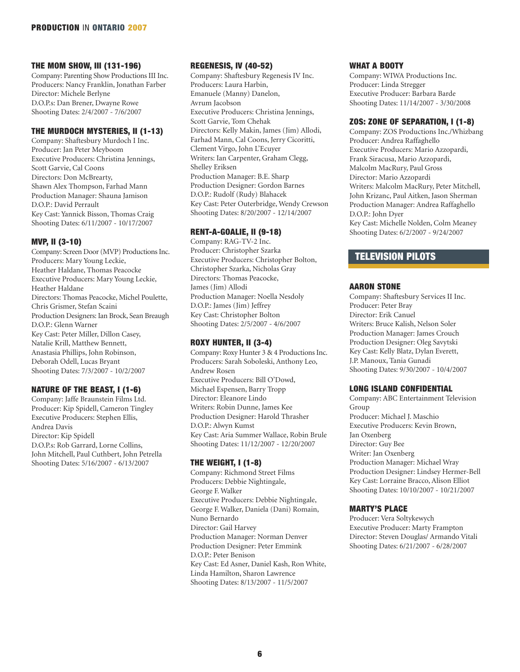# THE MOM SHOW, III (131-196)

Company: Parenting Show Productions III Inc. Producers: Nancy Franklin, Jonathan Farber Director: Michele Berlyne D.O.P.s: Dan Brener, Dwayne Rowe Shooting Dates: 2/4/2007 - 7/6/2007

# THE MURDOCH MYSTERIES, II (1-13)

Company: Shaftesbury Murdoch I Inc. Producer: Jan Peter Meyboom Executive Producers: Christina Jennings, Scott Garvie, Cal Coons Directors: Don McBrearty, Shawn Alex Thompson, Farhad Mann Production Manager: Shauna Jamison D.O.P.: David Perrault Key Cast: Yannick Bisson, Thomas Craig Shooting Dates: 6/11/2007 - 10/17/2007

# MVP, II (3-10)

Company: Screen Door (MVP) Productions Inc. Producers: Mary Young Leckie, Heather Haldane, Thomas Peacocke Executive Producers: Mary Young Leckie, Heather Haldane Directors: Thomas Peacocke, Michel Poulette, Chris Grismer, Stefan Scaini Production Designers: Ian Brock, Sean Breaugh D.O.P.: Glenn Warner Key Cast: Peter Miller, Dillon Casey, Natalie Krill, Matthew Bennett, Anastasia Phillips, John Robinson, Deborah Odell, Lucas Bryant Shooting Dates: 7/3/2007 - 10/2/2007

# NATURE OF THE BEAST, I (1-6)

Company: Jaffe Braunstein Films Ltd. Producer: Kip Spidell, Cameron Tingley Executive Producers: Stephen Ellis, Andrea Davis Director: Kip Spidell D.O.P.s: Rob Garrard, Lorne Collins, John Mitchell, Paul Cuthbert, John Petrella Shooting Dates: 5/16/2007 - 6/13/2007

# REGENESIS, IV (40-52)

Company: Shaftesbury Regenesis IV Inc. Producers: Laura Harbin, Emanuele (Manny) Danelon, Avrum Jacobson Executive Producers: Christina Jennings, Scott Garvie, Tom Chehak Directors: Kelly Makin, James (Jim) Allodi, Farhad Mann, Cal Coons, Jerry Cicoritti, Clement Virgo, John L'Ecuyer Writers: Ian Carpenter, Graham Clegg, Shelley Eriksen Production Manager: B.E. Sharp Production Designer: Gordon Barnes D.O.P.: Rudolf (Rudy) Blahacek Key Cast: Peter Outerbridge, Wendy Crewson Shooting Dates: 8/20/2007 - 12/14/2007

# RENT-A-GOALIE, II (9-18)

Company: RAG-TV-2 Inc. Producer: Christopher Szarka Executive Producers: Christopher Bolton, Christopher Szarka, Nicholas Gray Directors: Thomas Peacocke, James (Jim) Allodi Production Manager: Noella Nesdoly D.O.P.: James (Jim) Jeffrey Key Cast: Christopher Bolton Shooting Dates: 2/5/2007 - 4/6/2007

# ROXY HUNTER, II (3-4)

Company: Roxy Hunter 3 & 4 Productions Inc. Producers: Sarah Soboleski, Anthony Leo, Andrew Rosen Executive Producers: Bill O'Dowd, Michael Espensen, Barry Tropp Director: Eleanore Lindo Writers: Robin Dunne, James Kee Production Designer: Harold Thrasher D.O.P.: Alwyn Kumst Key Cast: Aria Summer Wallace, Robin Brule Shooting Dates: 11/12/2007 - 12/20/2007

# THE WEIGHT, I (1-8)

Company: Richmond Street Films Producers: Debbie Nightingale, George F. Walker Executive Producers: Debbie Nightingale, George F. Walker, Daniela (Dani) Romain, Nuno Bernardo Director: Gail Harvey Production Manager: Norman Denver Production Designer: Peter Emmink D.O.P.: Peter Benison Key Cast: Ed Asner, Daniel Kash, Ron White, Linda Hamilton, Sharon Lawrence Shooting Dates: 8/13/2007 - 11/5/2007

# WHAT A BOOTY

Company: WIWA Productions Inc. Producer: Linda Stregger Executive Producer: Barbara Barde Shooting Dates: 11/14/2007 - 3/30/2008

# ZOS: ZONE OF SEPARATION, I (1-8)

Company: ZOS Productions Inc./Whizbang Producer: Andrea Raffaghello Executive Producers: Mario Azzopardi, Frank Siracusa, Mario Azzopardi, Malcolm MacRury, Paul Gross Director: Mario Azzopardi Writers: Malcolm MacRury, Peter Mitchell, John Krizanc, Paul Aitken, Jason Sherman Production Manager: Andrea Raffaghello D.O.P.: John Dyer Key Cast: Michelle Nolden, Colm Meaney Shooting Dates: 6/2/2007 - 9/24/2007

# TELEVISION PILOTS

# AARON STONE

Company: Shaftesbury Services II Inc. Producer: Peter Bray Director: Erik Canuel Writers: Bruce Kalish, Nelson Soler Production Manager: James Crouch Production Designer: Oleg Savytski Key Cast: Kelly Blatz, Dylan Everett, J.P. Manoux, Tania Gunadi Shooting Dates: 9/30/2007 - 10/4/2007

# LONG ISLAND CONFIDENTIAL

Company: ABC Entertainment Television Group Producer: Michael J. Maschio Executive Producers: Kevin Brown, Jan Oxenberg Director: Guy Bee Writer: Jan Oxenberg Production Manager: Michael Wray Production Designer: Lindsey Hermer-Bell Key Cast: Lorraine Bracco, Alison Elliot Shooting Dates: 10/10/2007 - 10/21/2007

# MARTY'S PLACE

Producer: Vera Soltykewych Executive Producer: Marty Frampton Director: Steven Douglas/ Armando Vitali Shooting Dates: 6/21/2007 - 6/28/2007